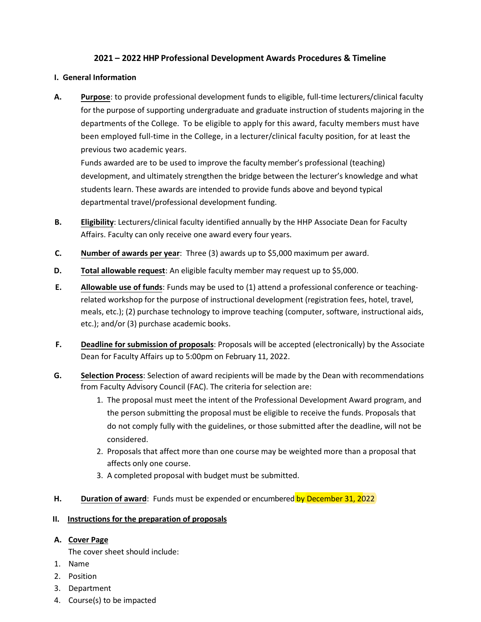# **2021 – 2022 HHP Professional Development Awards Procedures & Timeline**

## **I. General Information**

**A. Purpose**: to provide professional development funds to eligible, full-time lecturers/clinical faculty for the purpose of supporting undergraduate and graduate instruction of students majoring in the departments of the College. To be eligible to apply for this award, faculty members must have been employed full-time in the College, in a lecturer/clinical faculty position, for at least the previous two academic years.

Funds awarded are to be used to improve the faculty member's professional (teaching) development, and ultimately strengthen the bridge between the lecturer's knowledge and what students learn. These awards are intended to provide funds above and beyond typical departmental travel/professional development funding.

- **B. Eligibility**: Lecturers/clinical faculty identified annually by the HHP Associate Dean for Faculty Affairs. Faculty can only receive one award every four years.
- **C. Number of awards per year**: Three (3) awards up to \$5,000 maximum per award.
- **D. Total allowable request**: An eligible faculty member may request up to \$5,000.
- **E. Allowable use of funds**: Funds may be used to (1) attend a professional conference or teachingrelated workshop for the purpose of instructional development (registration fees, hotel, travel, meals, etc.); (2) purchase technology to improve teaching (computer, software, instructional aids, etc.); and/or (3) purchase academic books.
- **F. Deadline for submission of proposals**: Proposals will be accepted (electronically) by the Associate Dean for Faculty Affairs up to 5:00pm on February 11, 2022.
- **G. Selection Process**: Selection of award recipients will be made by the Dean with recommendations from Faculty Advisory Council (FAC). The criteria for selection are:
	- 1. The proposal must meet the intent of the Professional Development Award program, and the person submitting the proposal must be eligible to receive the funds. Proposals that do not comply fully with the guidelines, or those submitted after the deadline, will not be considered.
	- 2. Proposals that affect more than one course may be weighted more than a proposal that affects only one course.
	- 3. A completed proposal with budget must be submitted.
- **H. Duration of award**: Funds must be expended or encumbered by December 31, 2022

#### **II. Instructions for the preparation of proposals**

# **A. Cover Page**

The cover sheet should include:

- 1. Name
- 2. Position
- 3. Department
- 4. Course(s) to be impacted